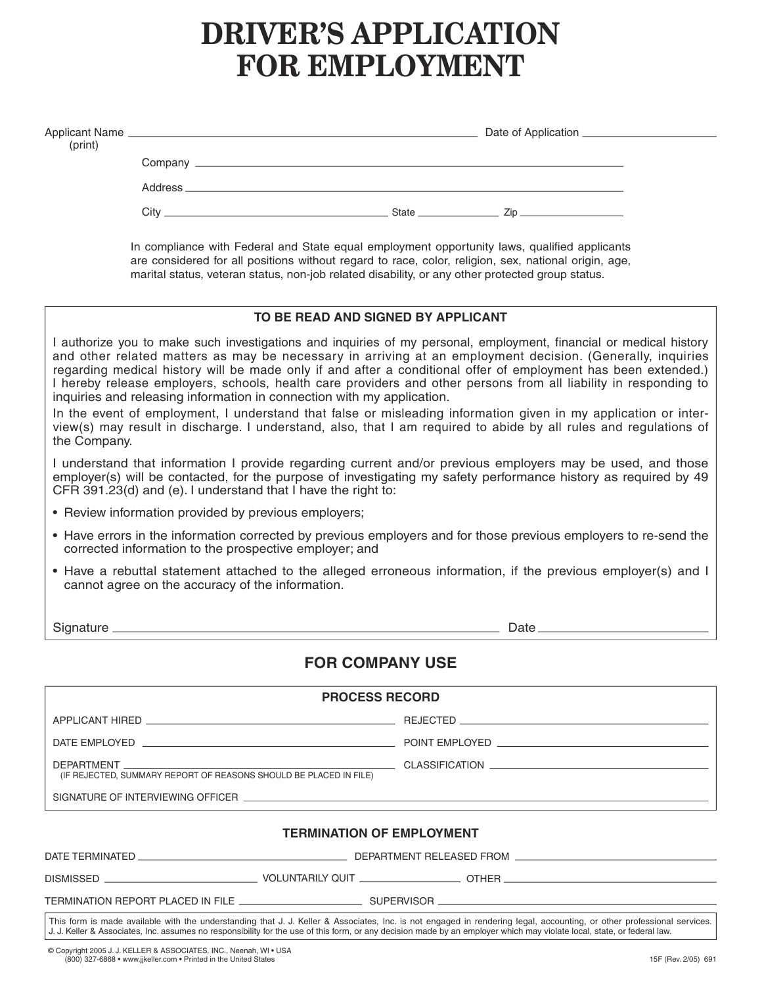# **DRIVER'S APPLICATION FOR EMPLOYMENT**

| (print)      |                                                                                                                                                                                                                                                                                                                                                                                                                                                                                                                                                                                                                                                                                                                                                                                         |                                                                                                                                                                                                                                                                                                          |  |  |  |  |  |
|--------------|-----------------------------------------------------------------------------------------------------------------------------------------------------------------------------------------------------------------------------------------------------------------------------------------------------------------------------------------------------------------------------------------------------------------------------------------------------------------------------------------------------------------------------------------------------------------------------------------------------------------------------------------------------------------------------------------------------------------------------------------------------------------------------------------|----------------------------------------------------------------------------------------------------------------------------------------------------------------------------------------------------------------------------------------------------------------------------------------------------------|--|--|--|--|--|
|              |                                                                                                                                                                                                                                                                                                                                                                                                                                                                                                                                                                                                                                                                                                                                                                                         |                                                                                                                                                                                                                                                                                                          |  |  |  |  |  |
|              |                                                                                                                                                                                                                                                                                                                                                                                                                                                                                                                                                                                                                                                                                                                                                                                         |                                                                                                                                                                                                                                                                                                          |  |  |  |  |  |
|              |                                                                                                                                                                                                                                                                                                                                                                                                                                                                                                                                                                                                                                                                                                                                                                                         | In compliance with Federal and State equal employment opportunity laws, qualified applicants<br>are considered for all positions without regard to race, color, religion, sex, national origin, age,<br>marital status, veteran status, non-job related disability, or any other protected group status. |  |  |  |  |  |
|              |                                                                                                                                                                                                                                                                                                                                                                                                                                                                                                                                                                                                                                                                                                                                                                                         | TO BE READ AND SIGNED BY APPLICANT                                                                                                                                                                                                                                                                       |  |  |  |  |  |
| the Company. | I authorize you to make such investigations and inquiries of my personal, employment, financial or medical history<br>and other related matters as may be necessary in arriving at an employment decision. (Generally, inquiries<br>regarding medical history will be made only if and after a conditional offer of employment has been extended.)<br>I hereby release employers, schools, health care providers and other persons from all liability in responding to<br>inquiries and releasing information in connection with my application.<br>In the event of employment, I understand that false or misleading information given in my application or inter-<br>view(s) may result in discharge. I understand, also, that I am required to abide by all rules and regulations of |                                                                                                                                                                                                                                                                                                          |  |  |  |  |  |
|              | CFR 391.23(d) and (e). I understand that I have the right to:                                                                                                                                                                                                                                                                                                                                                                                                                                                                                                                                                                                                                                                                                                                           | I understand that information I provide regarding current and/or previous employers may be used, and those<br>employer(s) will be contacted, for the purpose of investigating my safety performance history as required by 49                                                                            |  |  |  |  |  |
|              | • Review information provided by previous employers;                                                                                                                                                                                                                                                                                                                                                                                                                                                                                                                                                                                                                                                                                                                                    |                                                                                                                                                                                                                                                                                                          |  |  |  |  |  |
|              | corrected information to the prospective employer; and                                                                                                                                                                                                                                                                                                                                                                                                                                                                                                                                                                                                                                                                                                                                  | • Have errors in the information corrected by previous employers and for those previous employers to re-send the                                                                                                                                                                                         |  |  |  |  |  |
|              | cannot agree on the accuracy of the information.                                                                                                                                                                                                                                                                                                                                                                                                                                                                                                                                                                                                                                                                                                                                        | • Have a rebuttal statement attached to the alleged erroneous information, if the previous employer(s) and I                                                                                                                                                                                             |  |  |  |  |  |
|              |                                                                                                                                                                                                                                                                                                                                                                                                                                                                                                                                                                                                                                                                                                                                                                                         |                                                                                                                                                                                                                                                                                                          |  |  |  |  |  |
|              |                                                                                                                                                                                                                                                                                                                                                                                                                                                                                                                                                                                                                                                                                                                                                                                         | <b>FOR COMPANY USE</b>                                                                                                                                                                                                                                                                                   |  |  |  |  |  |
|              |                                                                                                                                                                                                                                                                                                                                                                                                                                                                                                                                                                                                                                                                                                                                                                                         | <b>PROCESS RECORD</b>                                                                                                                                                                                                                                                                                    |  |  |  |  |  |
|              |                                                                                                                                                                                                                                                                                                                                                                                                                                                                                                                                                                                                                                                                                                                                                                                         |                                                                                                                                                                                                                                                                                                          |  |  |  |  |  |
|              |                                                                                                                                                                                                                                                                                                                                                                                                                                                                                                                                                                                                                                                                                                                                                                                         |                                                                                                                                                                                                                                                                                                          |  |  |  |  |  |
| DEPARTMENT   | (IF REJECTED, SUMMARY REPORT OF REASONS SHOULD BE PLACED IN FILE)                                                                                                                                                                                                                                                                                                                                                                                                                                                                                                                                                                                                                                                                                                                       |                                                                                                                                                                                                                                                                                                          |  |  |  |  |  |

SIGNATURE OF INTERVIEWING OFFICER

#### **TERMINATION OF EMPLOYMENT**

| DATE T<br><b>TERMINATEF</b> | DEPARTMENT RELEASED FROM |
|-----------------------------|--------------------------|
|                             |                          |

DISMISSED OTHER VOLUNTARILY QUIT

| TERMINATION REPORT PLACED IN FILE |  |  |
|-----------------------------------|--|--|

 $\_$  SUPERVISOR  $\_$ 

This form is made available with the understanding that J. J. Keller & Associates, Inc. is not engaged in rendering legal, accounting, or other professional services. J. J. Keller & Associates, Inc. assumes no responsibility for the use of this form, or any decision made by an employer which may violate local, state, or federal law.

© Copyright 2005 J. J. KELLER & ASSOCIATES, INC., Neenah, WI • USA (800) 327-6868 • www.jjkeller.com • Printed in the United States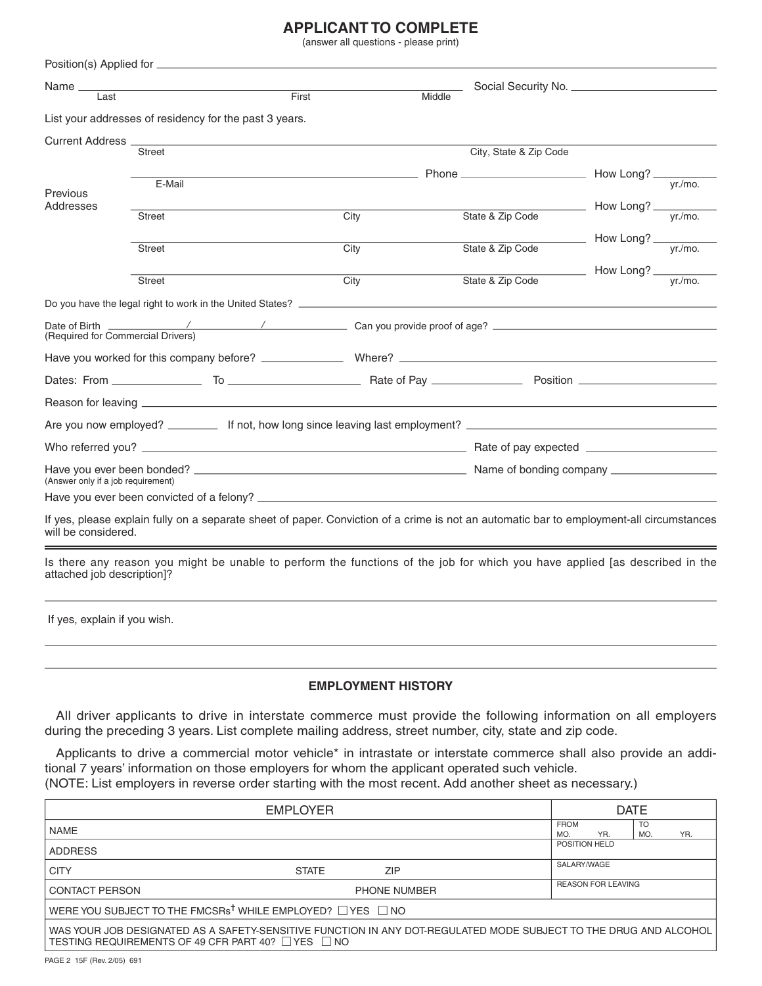# **APPLICANT TO COMPLETE**

(answer all questions - please print)

| Name $\equiv$<br>Last              |                                                                                                                                          | First<br>Middle                                                                 |                        |                                                                   |            |  |
|------------------------------------|------------------------------------------------------------------------------------------------------------------------------------------|---------------------------------------------------------------------------------|------------------------|-------------------------------------------------------------------|------------|--|
|                                    | List your addresses of residency for the past 3 years.                                                                                   |                                                                                 |                        |                                                                   |            |  |
|                                    |                                                                                                                                          |                                                                                 |                        |                                                                   |            |  |
| Current Address _                  | Street                                                                                                                                   |                                                                                 | City, State & Zip Code |                                                                   |            |  |
|                                    |                                                                                                                                          | $Phone$ $\frac{Phone}{P}$ $\frac{Phone}{P}$ $\frac{Pf(m)}{P}$ $\frac{Vf(m)}{P}$ |                        |                                                                   |            |  |
| Previous                           | E-Mail                                                                                                                                   |                                                                                 |                        |                                                                   |            |  |
| Addresses                          | <b>Street</b>                                                                                                                            | City                                                                            | State & Zip Code       |                                                                   | $v$ r./mo. |  |
|                                    |                                                                                                                                          |                                                                                 |                        |                                                                   |            |  |
|                                    | Street                                                                                                                                   | City                                                                            | State & Zip Code       | $\frac{1}{\sqrt{1-\frac{y_1}{y_2}}}}$ How Long? $\frac{y_1}{y_2}$ |            |  |
|                                    |                                                                                                                                          |                                                                                 |                        | $\frac{1}{\sqrt{1-\frac{y}{x}}}\$ How Long? $\frac{y}{y}$         |            |  |
|                                    | <b>Street</b>                                                                                                                            | City                                                                            | State & Zip Code       |                                                                   |            |  |
|                                    |                                                                                                                                          |                                                                                 |                        |                                                                   |            |  |
| (Required for Commercial Drivers)  |                                                                                                                                          |                                                                                 |                        |                                                                   |            |  |
|                                    |                                                                                                                                          |                                                                                 |                        |                                                                   |            |  |
|                                    |                                                                                                                                          |                                                                                 |                        |                                                                   |            |  |
|                                    |                                                                                                                                          |                                                                                 |                        |                                                                   |            |  |
|                                    |                                                                                                                                          |                                                                                 |                        |                                                                   |            |  |
|                                    |                                                                                                                                          |                                                                                 |                        |                                                                   |            |  |
| (Answer only if a job requirement) |                                                                                                                                          |                                                                                 |                        |                                                                   |            |  |
|                                    |                                                                                                                                          |                                                                                 |                        |                                                                   |            |  |
| will be considered.                | If yes, please explain fully on a separate sheet of paper. Conviction of a crime is not an automatic bar to employment-all circumstances |                                                                                 |                        |                                                                   |            |  |
| attached job description]?         | Is there any reason you might be unable to perform the functions of the job for which you have applied [as described in the              |                                                                                 |                        |                                                                   |            |  |

If yes, explain if you wish.

# **EMPLOYMENT HISTORY**

All driver applicants to drive in interstate commerce must provide the following information on all employers during the preceding 3 years. List complete mailing address, street number, city, state and zip code.

Applicants to drive a commercial motor vehicle\* in intrastate or interstate commerce shall also provide an additional 7 years' information on those employers for whom the applicant operated such vehicle. (NOTE: List employers in reverse order starting with the most recent. Add another sheet as necessary.)

|                                                                                                                                                                                  | <b>DATE</b>                |                                                      |  |  |  |
|----------------------------------------------------------------------------------------------------------------------------------------------------------------------------------|----------------------------|------------------------------------------------------|--|--|--|
| <b>NAME</b>                                                                                                                                                                      |                            | <b>TO</b><br><b>FROM</b><br>YR.<br>YR.<br>MO.<br>MO. |  |  |  |
| <b>ADDRESS</b>                                                                                                                                                                   |                            | POSITION HELD                                        |  |  |  |
| <b>CITY</b>                                                                                                                                                                      | <b>ZIP</b><br><b>STATE</b> | SALARY/WAGE                                          |  |  |  |
| <b>CONTACT PERSON</b>                                                                                                                                                            | <b>PHONE NUMBER</b>        | <b>REASON FOR LEAVING</b>                            |  |  |  |
| WERE YOU SUBJECT TO THE FMCSRs <sup>†</sup> WHILE EMPLOYED? $\Box$ YES $\Box$ NO                                                                                                 |                            |                                                      |  |  |  |
| WAS YOUR JOB DESIGNATED AS A SAFETY-SENSITIVE FUNCTION IN ANY DOT-REGULATED MODE SUBJECT TO THE DRUG AND ALCOHOL<br>TESTING REQUIREMENTS OF 49 CFR PART 40? $\Box$ YES $\Box$ NO |                            |                                                      |  |  |  |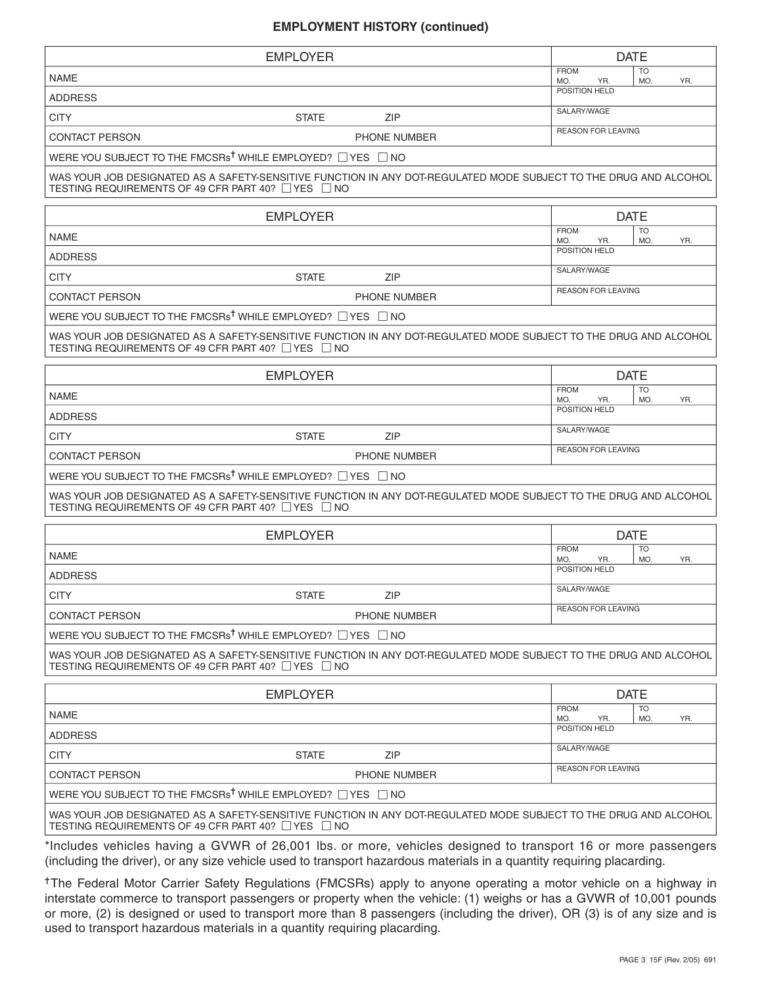### **EMPLOYMENT HISTORY (continued)**

|                                                                                                                                                                        | <b>EMPLOYER</b>    |                     | <b>DATE</b>               |                  |     |
|------------------------------------------------------------------------------------------------------------------------------------------------------------------------|--------------------|---------------------|---------------------------|------------------|-----|
| <b>NAME</b>                                                                                                                                                            |                    |                     | <b>FROM</b><br>MO.        | <b>TO</b><br>MO. | YR. |
| <b>ADDRESS</b>                                                                                                                                                         |                    |                     | YR.<br>POSITION HELD      |                  |     |
| <b>CITY</b>                                                                                                                                                            | <b>STATE</b>       | ZIP                 | SALARY/WAGE               |                  |     |
| <b>CONTACT PERSON</b>                                                                                                                                                  |                    | PHONE NUMBER        | <b>REASON FOR LEAVING</b> |                  |     |
| WERE YOU SUBJECT TO THE FMCSRs <sup>†</sup> WHILE EMPLOYED? □ YES □ NO                                                                                                 |                    |                     |                           |                  |     |
| WAS YOUR JOB DESIGNATED AS A SAFETY-SENSITIVE FUNCTION IN ANY DOT-REGULATED MODE SUBJECT TO THE DRUG AND ALCOHOL<br>TESTING REQUIREMENTS OF 49 CFR PART 40? ∐YES ∐NO   |                    |                     |                           |                  |     |
|                                                                                                                                                                        | <b>EMPLOYER</b>    |                     |                           | <b>DATE</b>      |     |
| <b>NAME</b>                                                                                                                                                            |                    |                     | <b>FROM</b><br>MO.<br>YR. | <b>TO</b><br>MO. | YR. |
| <b>ADDRESS</b>                                                                                                                                                         |                    |                     | POSITION HELD             |                  |     |
| <b>CITY</b>                                                                                                                                                            | <b>STATE</b>       | ZIP                 | SALARY/WAGE               |                  |     |
| <b>CONTACT PERSON</b>                                                                                                                                                  |                    | PHONE NUMBER        | <b>REASON FOR LEAVING</b> |                  |     |
| WERE YOU SUBJECT TO THE FMCSRs <sup>†</sup> WHILE EMPLOYED? □ YES □ NO                                                                                                 |                    |                     |                           |                  |     |
| WAS YOUR JOB DESIGNATED AS A SAFETY-SENSITIVE FUNCTION IN ANY DOT-REGULATED MODE SUBJECT TO THE DRUG AND ALCOHOL<br>TESTING REQUIREMENTS OF 49 CFR PART 40? TYES TNO   |                    |                     |                           |                  |     |
|                                                                                                                                                                        | <b>EMPLOYER</b>    |                     |                           | <b>DATE</b>      |     |
| <b>NAMF</b>                                                                                                                                                            |                    |                     | <b>FROM</b><br>MO.<br>YR. | <b>TO</b><br>MO. | YR. |
| <b>ADDRESS</b>                                                                                                                                                         |                    |                     | POSITION HELD             |                  |     |
| <b>CITY</b>                                                                                                                                                            | <b>STATE</b>       | <b>ZIP</b>          | SALARY/WAGE               |                  |     |
| <b>CONTACT PERSON</b>                                                                                                                                                  |                    | <b>PHONE NUMBER</b> | <b>REASON FOR LEAVING</b> |                  |     |
| WERE YOU SUBJECT TO THE FMCSRs <sup>†</sup> WHILE EMPLOYED? □ YES □ NO                                                                                                 |                    |                     |                           |                  |     |
| WAS YOUR JOB DESIGNATED AS A SAFETY-SENSITIVE FUNCTION IN ANY DOT-REGULATED MODE SUBJECT TO THE DRUG AND ALCOHOL<br>TESTING REQUIREMENTS OF 49 CFR PART 40? TYES TNO   |                    |                     |                           |                  |     |
|                                                                                                                                                                        | <b>EMPLOYER</b>    |                     |                           | <b>DATE</b>      |     |
| <b>NAME</b>                                                                                                                                                            |                    |                     | <b>FROM</b><br>MO.<br>YR. | <b>TO</b><br>MO. | YR. |
| <b>ADDRESS</b>                                                                                                                                                         |                    |                     | POSITION HELD             |                  |     |
| <b>CITY</b>                                                                                                                                                            | <b>STATE</b>       | ZIP                 | SALARY/WAGE               |                  |     |
| <b>CONTACT PERSON</b>                                                                                                                                                  |                    | PHONE NUMBER        | <b>REASON FOR LEAVING</b> |                  |     |
| WERE YOU SUBJECT TO THE FMCSRs <sup>†</sup> WHILE EMPLOYED? TYES TINO                                                                                                  |                    |                     |                           |                  |     |
| WAS YOUR JOB DESIGNATED AS A SAFETY-SENSITIVE FUNCTION IN ANY DOT-REGULATED MODE SUBJECT TO THE DRUG AND ALCOHOL<br>TESTING REQUIREMENTS OF 49 CFR PART 40? □ YES      | $\vert$ $\vert$ NO |                     |                           |                  |     |
|                                                                                                                                                                        | <b>EMPLOYER</b>    |                     |                           | <b>DATE</b>      |     |
| <b>NAME</b>                                                                                                                                                            |                    |                     | <b>FROM</b><br>MO.<br>YR. | <b>TO</b><br>MO. | YR. |
| <b>ADDRESS</b>                                                                                                                                                         |                    |                     | POSITION HELD             |                  |     |
| <b>CITY</b>                                                                                                                                                            | <b>STATE</b>       | <b>ZIP</b>          | SALARY/WAGE               |                  |     |
| <b>CONTACT PERSON</b>                                                                                                                                                  |                    | PHONE NUMBER        | <b>REASON FOR LEAVING</b> |                  |     |
| WERE YOU SUBJECT TO THE FMCSRs <sup>†</sup> WHILE EMPLOYED? $\Box$ YES $\Box$ NO                                                                                       |                    |                     |                           |                  |     |
| WAS YOUR JOB DESIGNATED AS A SAFETY-SENSITIVE FUNCTION IN ANY DOT-REGULATED MODE SUBJECT TO THE DRUG AND ALCOHOL<br>TESTING REQUIREMENTS OF 49 CFR PART 40? □ YES □ NO |                    |                     |                           |                  |     |
| *Includes vehicles having a GVWR of 26,001 lbs. or more, vehicles designed to transport 16 or more passengers                                                          |                    |                     |                           |                  |     |

(including the driver), or any size vehicle used to transport hazardous materials in a quantity requiring placarding.

<sup>+</sup>The Federal Motor Carrier Safety Regulations (FMCSRs) apply to anyone operating a motor vehicle on a highway in interstate commerce to transport passengers or property when the vehicle: (1) weighs or has a GVWR of 10,001 pounds or more, (2) is designed or used to transport more than 8 passengers (including the driver), OR (3) is of any size and is used to transport hazardous materials in a quantity requiring placarding.